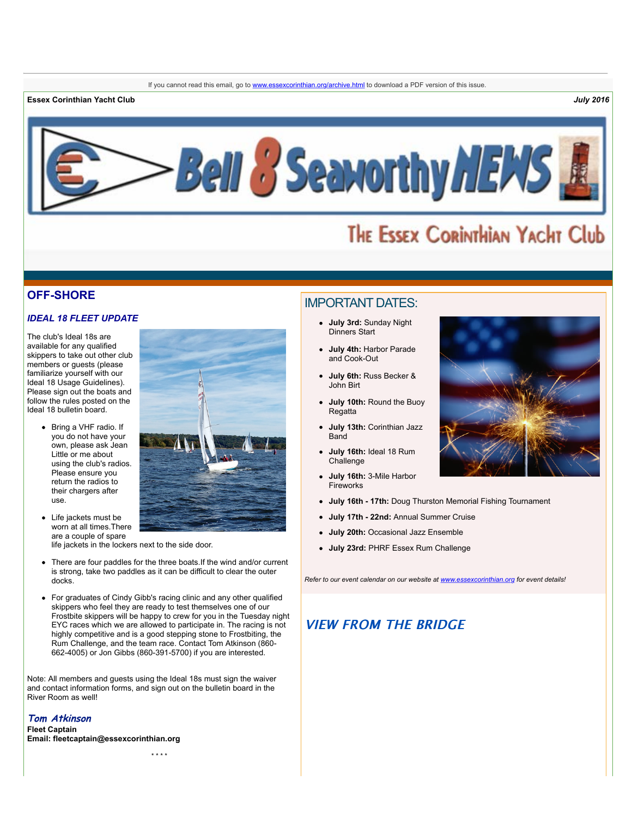**Essex Corinthian Yacht Club** *July 2016*



# THE ESSEX CORINTHIAN YACHT Club

## **OFF-SHORE**

## *IDEAL 18 FLEET UPDATE*

The club's Ideal 18s are available for any qualified skippers to take out other club members or guests (please familiarize yourself with our Ideal 18 Usage Guidelines). Please sign out the boats and follow the rules posted on the Ideal 18 bulletin board.

> Bring a VHF radio. If you do not have your own, please ask Jean Little or me about using the club's radios. Please ensure you return the radios to their chargers after use.

• Life jackets must be worn at all times. There are a couple of spare



life jackets in the lockers next to the side door.

- There are four paddles for the three boats.If the wind and/or current is strong, take two paddles as it can be difficult to clear the outer docks.
- For graduates of Cindy Gibb's racing clinic and any other qualified skippers who feel they are ready to test themselves one of our Frostbite skippers will be happy to crew for you in the Tuesday night EYC races which we are allowed to participate in. The racing is not highly competitive and is a good stepping stone to Frostbiting, the Rum Challenge, and the team race. Contact Tom Atkinson (860- 662-4005) or Jon Gibbs (860-391-5700) if you are interested.

Note: All members and guests using the Ideal 18s must sign the waiver and contact information forms, and sign out on the bulletin board in the River Room as well!

## **Tom Atkinson**

**Fleet Captain Email: [fleetcaptain@essexcorinthian.org](mailto:fleetcaptain@essexcorinthian.org)**

# IMPORTANT DATES:

- **July 3rd:** Sunday Night Dinners Start
- **July 4th:** Harbor Parade and Cook-Out
- **July 6th:** Russ Becker & John Birt
- **July 10th:** Round the Buoy Regatta
- **July 13th:** Corinthian Jazz **Band**
- **July 16th:** Ideal 18 Rum Challenge
- **July 16th:** 3-Mile Harbor **Fireworks**
- **July 16th 17th:** Doug Thurston Memorial Fishing Tournament
- **July 17th 22nd:** Annual Summer Cruise
- **July 20th:** Occasional Jazz Ensemble
- **July 23rd:** PHRF Essex Rum Challenge

*Refer to our event calendar on our website at [www.essexcorinthian.org](http://r20.rs6.net/tn.jsp?t=sdout7xab.0.0.sxskahdab.0&id=preview&r=3&p=http%3A%2F%2Fwww.essexcorinthian.org) for event details!*

# **VIEW FROM THE BRIDGE**

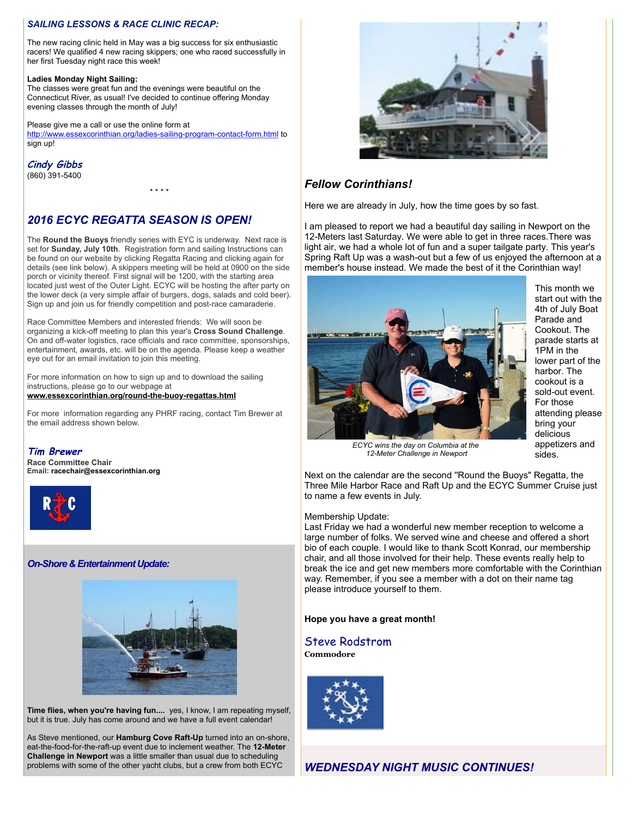#### *SAILING LESSONS & RACE CLINIC RECAP:*

The new racing clinic held in May was a big success for six enthusiastic racers! We qualified 4 new racing skippers; one who raced successfully in her first Tuesday night race this week!

#### **Ladies Monday Night Sailing:**

The classes were great fun and the evenings were beautiful on the Connecticut River, as usual! I've decided to continue offering Monday evening classes through the month of July!

Please give me a call or use the online form at [http://www.essexcorinthian.org/ladies-sailing-program-contact-form.html](http://r20.rs6.net/tn.jsp?t=sdout7xab.0.0.sxskahdab.0&id=preview&r=3&p=http%3A%2F%2Fwww.essexcorinthian.org%2Fladies-sailing-program-contact-form.html) to sign up!

#### **Cindy Gibbs**

(860) 391-5400

# *2016 ECYC REGATTA SEASON IS OPEN!*

The **Round the Buoys** friendly series with EYC is underway. Next race is set for **Sunday, July 10th**. Registration form and sailing Instructions can be found on our website by clicking Regatta Racing and clicking again for details (see link below). A skippers meeting will be held at 0900 on the side porch or vicinity thereof. First signal will be 1200, with the starting area located just west of the Outer Light. ECYC will be hosting the after party on the lower deck (a very simple affair of burgers, dogs, salads and cold beer). Sign up and join us for friendly competition and post-race camaraderie.

\* \* \* \*

Race Committee Members and interested friends: We will soon be organizing a kick-off meeting to plan this year's **Cross Sound Challenge**. On and off-water logistics, race officials and race committee, sponsorships, entertainment, awards, etc. will be on the agenda. Please keep a weather eye out for an email invitation to join this meeting.

For more information on how to sign up and to download the sailing instructions, please go to our webpage at

**[www.essexcorinthian.org/round-the-buoy-regattas.html](http://r20.rs6.net/tn.jsp?t=sdout7xab.0.0.sxskahdab.0&id=preview&r=3&p=http%3A%2F%2Fwww.essexcorinthian.org%2Fround-the-buoy-regattas.html)**

For more information regarding any PHRF racing, contact Tim Brewer at the email address shown below.

#### **Tim Brewer**

**Race Committee Chair Email: [racechair@essexcorinthian.org](mailto:racechair@essexcorinthian.org)**



#### *On-Shore & Entertainment Update:*



**Time flies, when you're having fun....** yes, I know, I am repeating myself, but it is true. July has come around and we have a full event calendar!

As Steve mentioned, our **Hamburg Cove Raft-Up** turned into an on-shore, eat-the-food-for-the-raft-up event due to inclement weather. The **12-Meter Challenge in Newport** was a little smaller than usual due to scheduling problems with some of the other yacht clubs, but a crew from both ECYC



# *Fellow Corinthians!*

Here we are already in July, how the time goes by so fast.

I am pleased to report we had a beautiful day sailing in Newport on the 12-Meters last Saturday. We were able to get in three races.There was light air, we had a whole lot of fun and a super tailgate party. This year's Spring Raft Up was a wash-out but a few of us enjoyed the afternoon at a member's house instead. We made the best of it the Corinthian way!



This month we start out with the 4th of July Boat Parade and Cookout. The parade starts at 1PM in the lower part of the harbor. The cookout is a sold-out event. For those attending please bring your delicious appetizers and sides.

*ECYC wins the day on Columbia at the 12-Meter Challenge in Newport*

Next on the calendar are the second ''Round the Buoys" Regatta, the Three Mile Harbor Race and Raft Up and the ECYC Summer Cruise just to name a few events in July.

#### Membership Update:

Last Friday we had a wonderful new member reception to welcome a large number of folks. We served wine and cheese and offered a short bio of each couple. I would like to thank Scott Konrad, our membership chair, and all those involved for their help. These events really help to break the ice and get new members more comfortable with the Corinthian way. Remember, if you see a member with a dot on their name tag please introduce yourself to them.

#### **Hope you have a great month!**

## Steve Rodstrom

**Commodore**

![](_page_1_Picture_34.jpeg)

*WEDNESDAY NIGHT MUSIC CONTINUES!*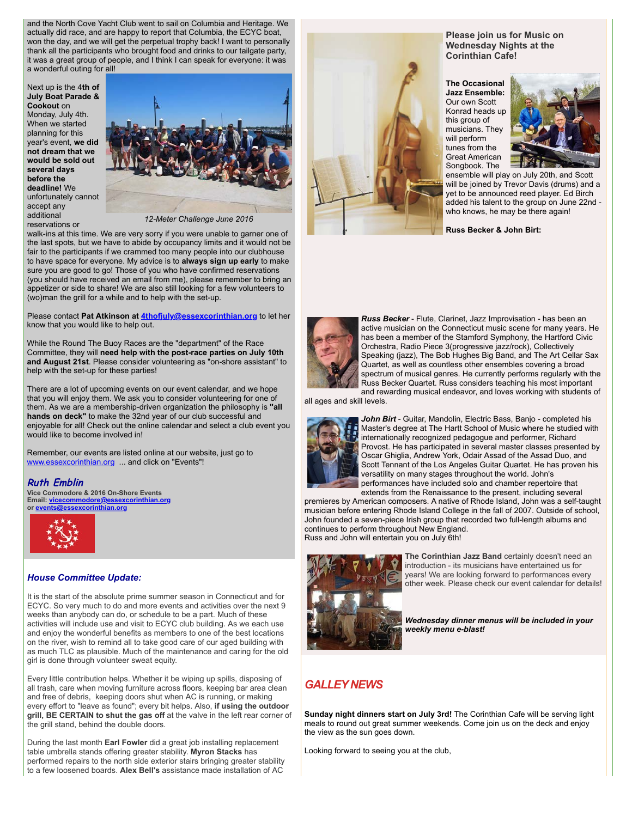and the North Cove Yacht Club went to sail on Columbia and Heritage. We actually did race, and are happy to report that Columbia, the ECYC boat, won the day, and we will get the perpetual trophy back! I want to personally thank all the participants who brought food and drinks to our tailgate party, it was a great group of people, and I think I can speak for everyone: it was a wonderful outing for all!

Next up is the 4**th of July Boat Parade & Cookout** on Monday, July 4th. When we started planning for this year's event, **we did not dream that we would be sold out several days before the deadline!** We unfortunately cannot accept any additional reservations or

![](_page_2_Picture_2.jpeg)

*12-Meter Challenge June 2016*

walk-ins at this time. We are very sorry if you were unable to garner one of the last spots, but we have to abide by occupancy limits and it would not be fair to the participants if we crammed too many people into our clubhouse to have space for everyone. My advice is to **always sign up early** to make sure you are good to go! Those of you who have confirmed reservations (you should have received an email from me), please remember to bring an appetizer or side to share! We are also still looking for a few volunteers to (wo)man the grill for a while and to help with the set-up.

Please contact **Pat Atkinson at [4thofjuly@essexcorinthian.org](mailto:4thofjuly@essexcorinthian.org)** to let her know that you would like to help out.

While the Round The Buoy Races are the "department" of the Race Committee, they will **need help with the post-race parties on July 10th and August 21st**. Please consider volunteering as "on-shore assistant" to help with the set-up for these parties!

There are a lot of upcoming events on our event calendar, and we hope that you will enjoy them. We ask you to consider volunteering for one of them. As we are a membership-driven organization the philosophy is **"all hands on deck"** to make the 32nd year of our club successful and enjoyable for all! Check out the online calendar and select a club event you would like to become involved in!

Remember, our events are listed online at our website, just go to [www.essexcorinthian.org](http://r20.rs6.net/tn.jsp?t=sdout7xab.0.0.sxskahdab.0&id=preview&r=3&p=http%3A%2F%2Fwww.essexcorinthian.org) ... and click on "Events"!

#### **Ruth Emblin**

**Vice Commodore & 2016 On-Shore Events Email: [vicecommodore@essexcorinthian.org](mailto:vicecommodore@essexcorinthian.org) or [events@essexcorinthian.org](mailto:events@essexcorinthian.org)**

![](_page_2_Picture_11.jpeg)

#### *House Committee Update:*

It is the start of the absolute prime summer season in Connecticut and for ECYC. So very much to do and more events and activities over the next 9 weeks than anybody can do, or schedule to be a part. Much of these activities will include use and visit to ECYC club building. As we each use and enjoy the wonderful benefits as members to one of the best locations on the river, wish to remind all to take good care of our aged building with as much TLC as plausible. Much of the maintenance and caring for the old girl is done through volunteer sweat equity.

Every little contribution helps. Whether it be wiping up spills, disposing of all trash, care when moving furniture across floors, keeping bar area clean and free of debris, keeping doors shut when AC is running, or making every effort to "leave as found"; every bit helps. Also, **if using the outdoor grill, BE CERTAIN to shut the gas off** at the valve in the left rear corner of the grill stand, behind the double doors.

During the last month **Earl Fowler** did a great job installing replacement table umbrella stands offering greater stability. **Myron Stacks** has performed repairs to the north side exterior stairs bringing greater stability to a few loosened boards. **Alex Bell's** assistance made installation of AC

![](_page_2_Picture_16.jpeg)

**Please join us for Music on Wednesday Nights at the Corinthian Cafe!** 

**The Occasional Jazz Ensemble:**  Our own Scott Konrad heads up this group of musicians. They will perform tunes from the Great American Songbook. The

![](_page_2_Picture_19.jpeg)

ensemble will play on July 20th, and Scott will be joined by Trevor Davis (drums) and a yet to be announced reed player. Ed Birch added his talent to the group on June 22nd who knows, he may be there again!

**Russ Becker & John Birt:**

![](_page_2_Picture_22.jpeg)

*Russ Becker* - Flute, Clarinet, Jazz Improvisation - has been an active musician on the Connecticut music scene for many years. He has been a member of the Stamford Symphony, the Hartford Civic Orchestra, Radio Piece 3(progressive jazz/rock), Collectively Speaking (jazz), The Bob Hughes Big Band, and The Art Cellar Sax Quartet, as well as countless other ensembles covering a broad spectrum of musical genres. He currently performs regularly with the Russ Becker Quartet. Russ considers teaching his most important and rewarding musical endeavor, and loves working with students of

all ages and skill levels.

![](_page_2_Picture_25.jpeg)

*John Birt* - Guitar, Mandolin, Electric Bass, Banjo - completed his Master's degree at The Hartt School of Music where he studied with internationally recognized pedagogue and performer, Richard Provost. He has participated in several master classes presented by Oscar Ghiglia, Andrew York, Odair Assad of the Assad Duo, and Scott Tennant of the Los Angeles Guitar Quartet. He has proven his versatility on many stages throughout the world. John's performances have included solo and chamber repertoire that extends from the Renaissance to the present, including several

premieres by American composers. A native of Rhode Island, John was a self-taught musician before entering Rhode Island College in the fall of 2007. Outside of school, John founded a seven-piece Irish group that recorded two full-length albums and continues to perform throughout New England. Russ and John will entertain you on July 6th!

![](_page_2_Picture_28.jpeg)

**The Corinthian Jazz Band** certainly doesn't need an introduction - its musicians have entertained us for years! We are looking forward to performances every other week. Please check our event calendar for details!

*Wednesday dinner menus will be included in your weekly menu e-blast!*

# *GALLEY NEWS*

**Sunday night dinners start on July 3rd!** The Corinthian Cafe will be serving light meals to round out great summer weekends. Come join us on the deck and enjoy the view as the sun goes down.

Looking forward to seeing you at the club,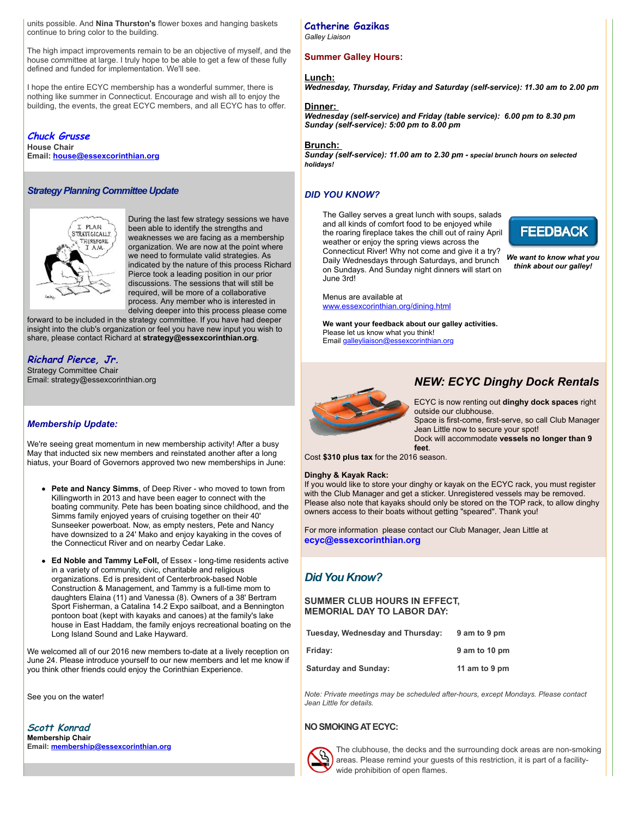units possible. And **Nina Thurston's** flower boxes and hanging baskets continue to bring color to the building.

The high impact improvements remain to be an objective of myself, and the house committee at large. I truly hope to be able to get a few of these fully defined and funded for implementation. We'll see.

I hope the entire ECYC membership has a wonderful summer, there is nothing like summer in Connecticut. Encourage and wish all to enjoy the building, the events, the great ECYC members, and all ECYC has to offer.

# **Chuck Grusse**

**House Chair Email: [house@essexcorinthian.org](mailto:house@essexcorinthian.org)**

#### *Strategy Planning Committee Update*

![](_page_3_Picture_6.jpeg)

During the last few strategy sessions we have been able to identify the strengths and weaknesses we are facing as a membership organization. We are now at the point where we need to formulate valid strategies. As indicated by the nature of this process Richard Pierce took a leading position in our prior discussions. The sessions that will still be required, will be more of a collaborative process. Any member who is interested in delving deeper into this process please come

forward to be included in the strategy committee. If you have had deeper insight into the club's organization or feel you have new input you wish to share, please contact Richard at **[strategy@essexcorinthian.org](mailto:strategy@essexcorinthian.org)**.

# **Richard Pierce, Jr.**

Strategy Committee Chair Email: [strategy@essexcorinthian.org](mailto:strategy@essexcorinthian.org)

#### *Membership Update:*

We're seeing great momentum in new membership activity! After a busy May that inducted six new members and reinstated another after a long hiatus, your Board of Governors approved two new memberships in June:

- **Pete and Nancy Simms**, of Deep River who moved to town from Killingworth in 2013 and have been eager to connect with the boating community. Pete has been boating since childhood, and the Simms family enjoyed years of cruising together on their 40' Sunseeker powerboat. Now, as empty nesters, Pete and Nancy have downsized to a 24' Mako and enjoy kayaking in the coves of the Connecticut River and on nearby Cedar Lake.
- **Ed Noble and Tammy LeFoll,** of Essex long-time residents active in a variety of community, civic, charitable and religious organizations. Ed is president of Centerbrook-based Noble Construction & Management, and Tammy is a full-time mom to daughters Elaina (11) and Vanessa (8). Owners of a 38' Bertram Sport Fisherman, a Catalina 14.2 Expo sailboat, and a Bennington pontoon boat (kept with kayaks and canoes) at the family's lake house in East Haddam, the family enjoys recreational boating on the Long Island Sound and Lake Hayward.

We welcomed all of our 2016 new members to-date at a lively reception on June 24. Please introduce yourself to our new members and let me know if you think other friends could enjoy the Corinthian Experience.

See you on the water!

**Scott Konrad Membership Chair Email: [membership@essexcorinthian.org](mailto:membership@essexcorinthian.org)**

# **Catherine Gazikas**

*Galley Liaison*

#### **Summer Galley Hours:**

#### **Lunch:**

*Wednesday, Thursday, Friday and Saturday (self-service): 11.30 am to 2.00 pm* 

#### **Dinner:**

*Wednesday (self-service) and Friday (table service): 6.00 pm to 8.30 pm Sunday (self-service): 5:00 pm to 8.00 pm*

#### **Brunch:**

*Sunday (self-service): 11.00 am to 2.30 pm - special brunch hours on selected holidays!*

#### *DID YOU KNOW?*

The Galley serves a great lunch with soups, salads and all kinds of comfort food to be enjoyed while the roaring fireplace takes the chill out of rainy April weather or enjoy the spring views across the Connecticut River! Why not come and give it a try? Daily Wednesdays through Saturdays, and brunch on Sundays. And Sunday night dinners will start on June 3rd!

![](_page_3_Picture_29.jpeg)

*We want to know what you think about our galley!*

Menus are available at [www.essexcorinthian.org/dining.html](http://r20.rs6.net/tn.jsp?t=sdout7xab.0.0.sxskahdab.0&id=preview&r=3&p=http%3A%2F%2Fwww.essexcorinthian.org%2Fdining.html)

**We want your feedback about our galley activities.** Please let us know what you think! Email [galleyliaison@essexcorinthian.org](mailto:galleyliaison@essexcorinthian.org)

![](_page_3_Picture_33.jpeg)

# *NEW: ECYC Dinghy Dock Rentals*

ECYC is now renting out **dinghy dock spaces** right outside our clubhouse. Space is first-come, first-serve, so call Club Manager Jean Little now to secure your spot! Dock will accommodate **vessels no longer than 9**

Cost **\$310 plus tax** for the 2016 season.

#### **Dinghy & Kayak Rack:**

If you would like to store your dinghy or kayak on the ECYC rack, you must register with the Club Manager and get a sticker. Unregistered vessels may be removed. Please also note that kayaks should only be stored on the TOP rack, to allow dinghy owners access to their boats without getting "speared". Thank you!

For more information please contact our Club Manager, Jean Little at **[ecyc@essexcorinthian.org](mailto:ecyc@essexcorinthian.org)**

**feet**.

# *Did You Know?*

#### **SUMMER CLUB HOURS IN EFFECT, MEMORIAL DAY TO LABOR DAY:**

| Tuesday, Wednesday and Thursday: | 9 am to 9 pm  |
|----------------------------------|---------------|
| Fridav:                          | 9 am to 10 pm |
| Saturday and Sunday:             | 11 am to 9 pm |

*Note: Private meetings may be scheduled after-hours, except Mondays. Please contact Jean Little for details.*

#### **NO SMOKING AT ECYC:**

![](_page_3_Picture_45.jpeg)

The clubhouse, the decks and the surrounding dock areas are non-smoking areas. Please remind your guests of this restriction, it is part of a facilitywide prohibition of open flames.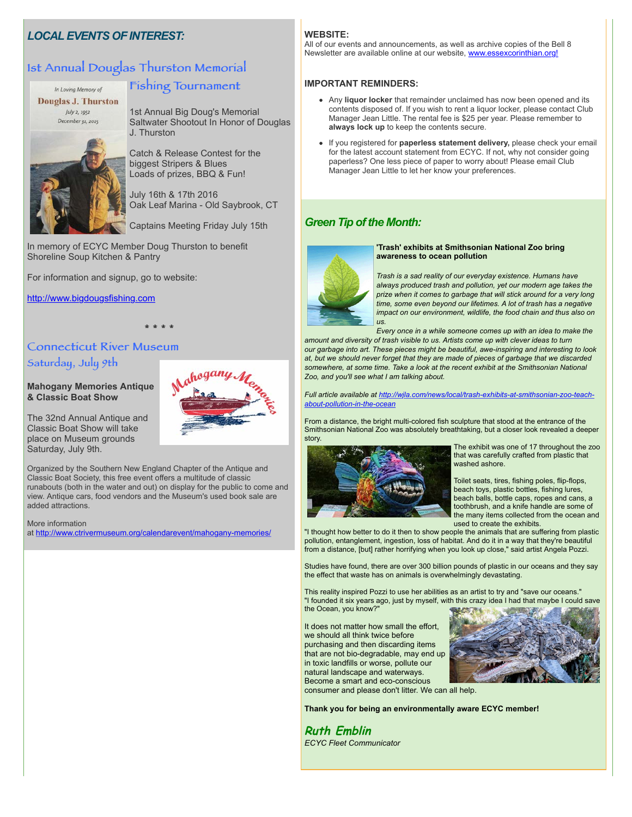# *LOCAL EVENTS OF INTEREST:*

# 1st Annual Douglas Thurston Memorial

In Loving Memory of **Douglas J. Thurston** July 2, 1952 December 31, 2015

# Fishing Tournament

1st Annual Big Doug's Memorial Saltwater Shootout In Honor of Douglas J. Thurston

Catch & Release Contest for the biggest Stripers & Blues Loads of prizes, BBQ & Fun!

July 16th & 17th 2016 Oak Leaf Marina - Old Saybrook, CT

Captains Meeting Friday July 15th

In memory of ECYC Member Doug Thurston to benefit Shoreline Soup Kitchen & Pantry

For information and signup, go to website:

[http://www.bigdougsfishing.com](http://r20.rs6.net/tn.jsp?t=sdout7xab.0.0.sxskahdab.0&id=preview&r=3&p=http%3A%2F%2Fwww.bigdougsfishing.com)

# **Connecticut River Museum** Saturday, July 9th

**Mahogany Memories Antique & Classic Boat Show**

![](_page_4_Picture_13.jpeg)

The 32nd Annual Antique and Classic Boat Show will take place on Museum grounds Saturday, July 9th.

Organized by the Southern New England Chapter of the Antique and Classic Boat Society, this free event offers a multitude of classic runabouts (both in the water and out) on display for the public to come and view. Antique cars, food vendors and the Museum's used book sale are added attractions.

\* \* \* \* \* \* \* \*

#### More information

at [http://www.ctrivermuseum.org/calendarevent/mahogany-memories/](http://r20.rs6.net/tn.jsp?t=sdout7xab.0.0.sxskahdab.0&id=preview&r=3&p=http%3A%2F%2Fwww.ctrivermuseum.org%2Fcalendarevent%2Fmahogany-memories%2F)

#### **WEBSITE:**

All of our events and announcements, as well as archive copies of the Bell 8 Newsletter are available online at our website, [www.essexcorinthian.org!](http://r20.rs6.net/tn.jsp?t=sdout7xab.0.0.sxskahdab.0&id=preview&r=3&p=http%3A%2F%2Fwww.essexcorinthian.org%21)

#### **IMPORTANT REMINDERS:**

- Any **liquor locker** that remainder unclaimed has now been opened and its contents disposed of. If you wish to rent a liquor locker, please contact Club Manager Jean Little. The rental fee is \$25 per year. Please remember to **always lock up** to keep the contents secure.
- If you registered for **paperless statement delivery,** please check your email for the latest account statement from ECYC. If not, why not consider going paperless? One less piece of paper to worry about! Please email Club Manager Jean Little to let her know your preferences.

# *Green Tip of the Month:*

![](_page_4_Picture_24.jpeg)

#### **'Trash' exhibits at Smithsonian National Zoo bring awareness to ocean pollution**

*Trash is a sad reality of our everyday existence. Humans have always produced trash and pollution, yet our modern age takes the prize when it comes to garbage that will stick around for a very long time, some even beyond our lifetimes. A lot of trash has a negative impact on our environment, wildlife, the food chain and thus also on*  $\overline{u}$ 

*Every once in a while someone comes up with an idea to make the*

*amount and diversity of trash visible to us. Artists come up with clever ideas to turn our garbage into art. These pieces might be beautiful, awe-inspiring and interesting to look at, but we should never forget that they are made of pieces of garbage that we discarded somewhere, at some time. Take a look at the recent exhibit at the Smithsonian National Zoo, and you'll see what I am talking about.* 

*[Full article available at http://wjla.com/news/local/trash-exhibits-at-smithsonian-zoo-teach](http://r20.rs6.net/tn.jsp?t=sdout7xab.0.0.sxskahdab.0&id=preview&r=3&p=http%3A%2F%2Fwjla.com%2Fnews%2Flocal%2Ftrash-exhibits-at-smithsonian-zoo-teach-about-pollution-in-the-ocean)about-pollution-in-the-ocean*

From a distance, the bright multi-colored fish sculpture that stood at the entrance of the Smithsonian National Zoo was absolutely breathtaking, but a closer look revealed a deeper story.

![](_page_4_Picture_31.jpeg)

The exhibit was one of 17 throughout the zoo that was carefully crafted from plastic that washed ashore.

Toilet seats, tires, fishing poles, flip-flops, beach toys, plastic bottles, fishing lures, beach balls, bottle caps, ropes and cans, a toothbrush, and a knife handle are some of the many items collected from the ocean and used to create the exhibits.

"I thought how better to do it then to show people the animals that are suffering from plastic pollution, entanglement, ingestion, loss of habitat. And do it in a way that they're beautiful from a distance, [but] rather horrifying when you look up close," said artist Angela Pozzi.

Studies have found, there are over 300 billion pounds of plastic in our oceans and they say the effect that waste has on animals is overwhelmingly devastating.

This reality inspired Pozzi to use her abilities as an artist to try and "save our oceans." "I founded it six years ago, just by myself, with this crazy idea I had that maybe I could save the Ocean, you know?"

It does not matter how small the effort, we should all think twice before purchasing and then discarding items that are not bio-degradable, may end up in toxic landfills or worse, pollute our natural landscape and waterways. Become a smart and eco-conscious

![](_page_4_Picture_38.jpeg)

consumer and please don't litter. We can all help.

**Thank you for being an environmentally aware ECYC member!**

**Ruth Emblin**  *ECYC Fleet Communicator*